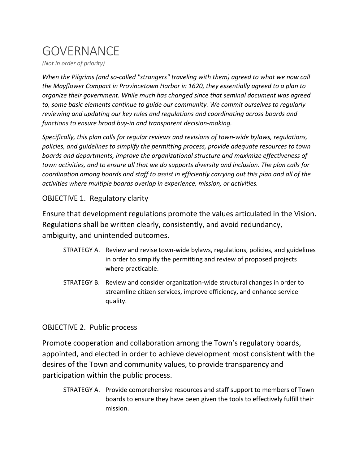## GOVERNANCE

*(Not in order of priority)* 

*When the Pilgrims (and so-called "strangers" traveling with them) agreed to what we now call the Mayflower Compact in Provincetown Harbor in 1620, they essentially agreed to a plan to organize their government. While much has changed since that seminal document was agreed to, some basic elements continue to guide our community. We commit ourselves to regularly reviewing and updating our key rules and regulations and coordinating across boards and functions to ensure broad buy-in and transparent decision-making.*

*Specifically, this plan calls for regular reviews and revisions of town-wide bylaws, regulations, policies, and guidelines to simplify the permitting process, provide adequate resources to town boards and departments, improve the organizational structure and maximize effectiveness of town activities, and to ensure all that we do supports diversity and inclusion. The plan calls for coordination among boards and staff to assist in efficiently carrying out this plan and all of the activities where multiple boards overlap in experience, mission, or activities.*

## OBJECTIVE 1. Regulatory clarity

Ensure that development regulations promote the values articulated in the Vision. Regulations shall be written clearly, consistently, and avoid redundancy, ambiguity, and unintended outcomes.

- STRATEGY A. Review and revise town-wide bylaws, regulations, policies, and guidelines in order to simplify the permitting and review of proposed projects where practicable.
- STRATEGY B. Review and consider organization-wide structural changes in order to streamline citizen services, improve efficiency, and enhance service quality.

## OBJECTIVE 2. Public process

Promote cooperation and collaboration among the Town's regulatory boards, appointed, and elected in order to achieve development most consistent with the desires of the Town and community values, to provide transparency and participation within the public process.

STRATEGY A. Provide comprehensive resources and staff support to members of Town boards to ensure they have been given the tools to effectively fulfill their mission.